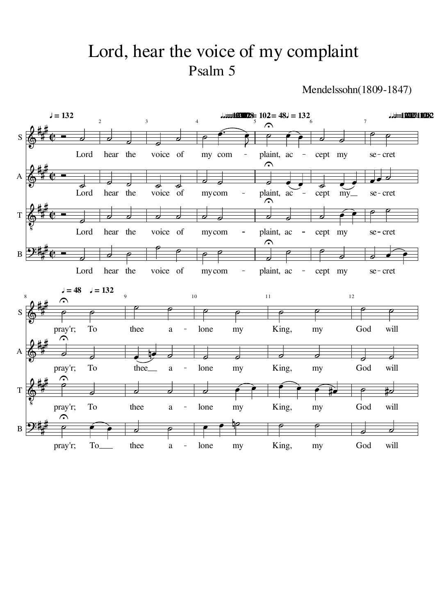## Psalm 5 Lord, hear the voice of my complaint

Mendelssohn(1809-1847)